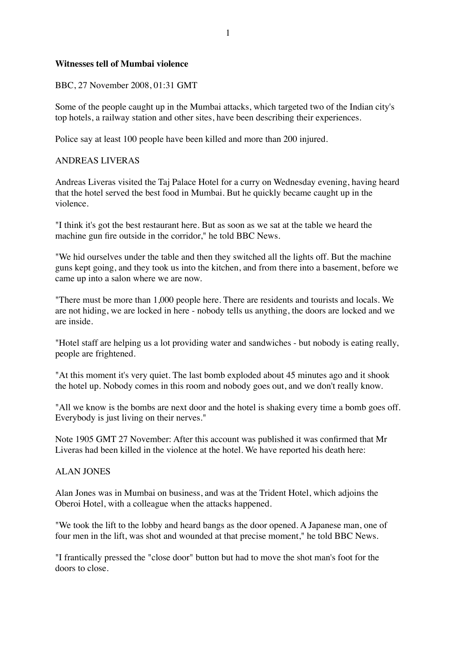# **Witnesses tell of Mumbai violence**

BBC, 27 November 2008, 01:31 GMT

Some of the people caught up in the Mumbai attacks, which targeted two of the Indian city's top hotels, a railway station and other sites, have been describing their experiences.

Police say at least 100 people have been killed and more than 200 injured.

# ANDREAS LIVERAS

Andreas Liveras visited the Taj Palace Hotel for a curry on Wednesday evening, having heard that the hotel served the best food in Mumbai. But he quickly became caught up in the violence.

"I think it's got the best restaurant here. But as soon as we sat at the table we heard the machine gun fire outside in the corridor," he told BBC News.

"We hid ourselves under the table and then they switched all the lights off. But the machine guns kept going, and they took us into the kitchen, and from there into a basement, before we came up into a salon where we are now.

"There must be more than 1,000 people here. There are residents and tourists and locals. We are not hiding, we are locked in here - nobody tells us anything, the doors are locked and we are inside.

"Hotel staff are helping us a lot providing water and sandwiches - but nobody is eating really, people are frightened.

"At this moment it's very quiet. The last bomb exploded about 45 minutes ago and it shook the hotel up. Nobody comes in this room and nobody goes out, and we don't really know.

"All we know is the bombs are next door and the hotel is shaking every time a bomb goes off. Everybody is just living on their nerves."

Note 1905 GMT 27 November: After this account was published it was confirmed that Mr Liveras had been killed in the violence at the hotel. We have reported his death here:

#### ALAN JONES

Alan Jones was in Mumbai on business, and was at the Trident Hotel, which adjoins the Oberoi Hotel, with a colleague when the attacks happened.

"We took the lift to the lobby and heard bangs as the door opened. A Japanese man, one of four men in the lift, was shot and wounded at that precise moment," he told BBC News.

"I frantically pressed the "close door" button but had to move the shot man's foot for the doors to close.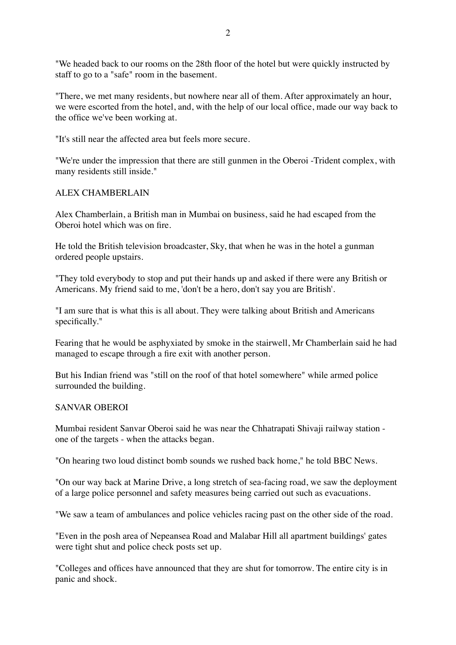"We headed back to our rooms on the 28th floor of the hotel but were quickly instructed by staff to go to a "safe" room in the basement.

"There, we met many residents, but nowhere near all of them. After approximately an hour, we were escorted from the hotel, and, with the help of our local office, made our way back to the office we've been working at.

"It's still near the affected area but feels more secure.

"We're under the impression that there are still gunmen in the Oberoi -Trident complex, with many residents still inside."

# ALEX CHAMBERLAIN

Alex Chamberlain, a British man in Mumbai on business, said he had escaped from the Oberoi hotel which was on fire.

He told the British television broadcaster, Sky, that when he was in the hotel a gunman ordered people upstairs.

"They told everybody to stop and put their hands up and asked if there were any British or Americans. My friend said to me, 'don't be a hero, don't say you are British'.

"I am sure that is what this is all about. They were talking about British and Americans specifically."

Fearing that he would be asphyxiated by smoke in the stairwell, Mr Chamberlain said he had managed to escape through a fire exit with another person.

But his Indian friend was "still on the roof of that hotel somewhere" while armed police surrounded the building.

### SANVAR OBEROI

Mumbai resident Sanvar Oberoi said he was near the Chhatrapati Shivaji railway station one of the targets - when the attacks began.

"On hearing two loud distinct bomb sounds we rushed back home," he told BBC News.

"On our way back at Marine Drive, a long stretch of sea-facing road, we saw the deployment of a large police personnel and safety measures being carried out such as evacuations.

"We saw a team of ambulances and police vehicles racing past on the other side of the road.

"Even in the posh area of Nepeansea Road and Malabar Hill all apartment buildings' gates were tight shut and police check posts set up.

"Colleges and offices have announced that they are shut for tomorrow. The entire city is in panic and shock.